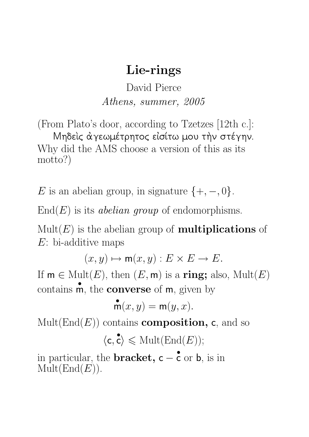## Lie-rings

David Pierce Athens, summer, 2005

(From Plato's door, according to Tzetzes [12th c.]: Mηδείς αγεωμέτρητος είσίτω μου την στέγην. Why did the AMS choose a version of this as its motto?)

E is an abelian group, in signature  $\{+,-,0\}$ .

 $End(E)$  is its *abelian group* of endomorphisms.

 $Mult(E)$  is the abelian group of **multiplications** of E: bi-additive maps

 $(x, y) \mapsto m(x, y) : E \times E \to E.$ 

If  $m \in Mult(E),$  then  $(E, m)$  is a ring; also,  $Mult(E)$ contains • m, the **converse** of m, given by

$$
\mathop{\bf m}\limits^{\bullet}(x,y)={\bf m}(y,x).
$$

 $Mult(End(E))$  contains **composition**, c, and so  $\langle \mathsf{c},$  $\langle \mathbf{c} \rangle \leq \text{Mult}(\text{End}(E));$ 

in particular, the **bracket**,  $c -$ • c or b, is in  $\mathrm{Mult}(\mathrm{End}(E)).$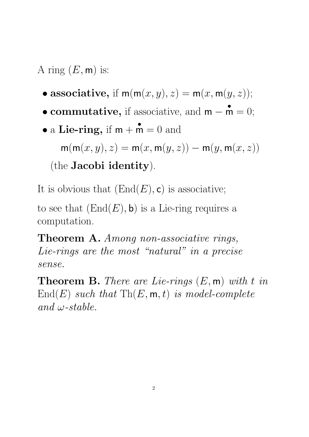A ring  $(E, \mathsf{m})$  is:

- associative, if  $m(m(x, y), z) = m(x, m(y, z));$
- commutative, if associative, and m − •  $\mathbf{\dot{m}} = 0;$

\n- a Lie-ring, if 
$$
m + m = 0
$$
 and  $m(m(x, y), z) = m(x, m(y, z)) - m(y, m(x, z))$  (the Jacobi identity).
\n

It is obvious that  $(End(E), c)$  is associative;

to see that  $(End(E), \mathbf{b})$  is a Lie-ring requires a computation.

Theorem A. Among non-associative rings, Lie-rings are the most "natural" in a precise sense.

**Theorem B.** There are Lie-rings  $(E, \mathbf{m})$  with t in  $\text{End}(E)$  such that  $\text{Th}(E, \mathsf{m}, t)$  is model-complete and  $\omega$ -stable.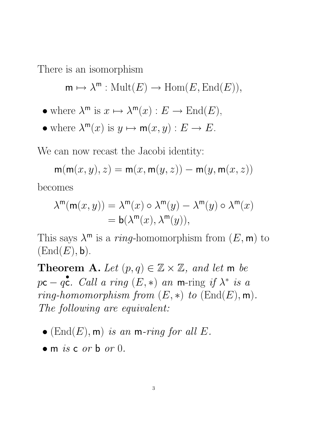There is an isomorphism

 $\mathsf{m} \mapsto \lambda^{\mathsf{m}} : \mathrm{Mult}(E) \to \mathrm{Hom}(E, \mathrm{End}(E)),$ 

- where  $\lambda^m$  is  $x \mapsto \lambda^m(x) : E \to \text{End}(E)$ ,
- where  $\lambda^m(x)$  is  $y \mapsto m(x, y) : E \to E$ .

We can now recast the Jacobi identity:

 $m(m(x, y), z) = m(x, m(y, z)) - m(y, m(x, z))$ becomes

$$
\begin{aligned} \lambda^{\mathsf{m}}(\mathsf{m}(x,y))&=\lambda^{\mathsf{m}}(x)\circ\lambda^{\mathsf{m}}(y)-\lambda^{\mathsf{m}}(y)\circ\lambda^{\mathsf{m}}(x)\\ &=\mathsf{b}(\lambda^{\mathsf{m}}(x),\lambda^{\mathsf{m}}(y)), \end{aligned}
$$

This says  $\lambda^m$  is a *ring*-homomorphism from  $(E, m)$  to  $(End(E), \mathsf{b}).$ 

**Theorem A.** Let  $(p, q) \in \mathbb{Z} \times \mathbb{Z}$ , and let m be  $p$ c –  $q$ • c. Call a ring  $(E,*)$  an m-ring if  $\lambda^*$  is a ring-homomorphism from  $(E, *)$  to  $(\text{End}(E), \text{m}).$ The following are equivalent:

- $(End(E), m)$  is an m-ring for all E.
- $\bullet$  m is c or b or 0.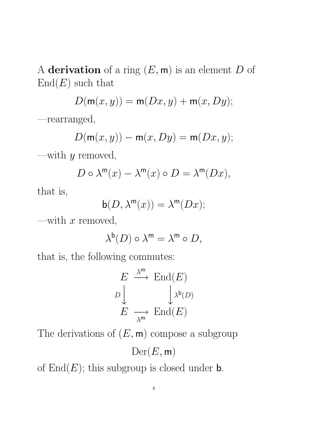A derivation of a ring  $(E, \mathsf{m})$  is an element  $D$  of  $End(E)$  such that

$$
D(\mathsf{m}(x,y)) = \mathsf{m}(Dx,y) + \mathsf{m}(x,Dy);
$$

—rearranged,

$$
D(\mathsf{m}(x,y))-\mathsf{m}(x,Dy)=\mathsf{m}(Dx,y);
$$

—with  $y$  removed,

$$
D \circ \lambda^{\mathsf{m}}(x) - \lambda^{\mathsf{m}}(x) \circ D = \lambda^{\mathsf{m}}(Dx),
$$

that is,

$$
\mathsf{b}(D,\lambda^{\mathsf{m}}(x)) = \lambda^{\mathsf{m}}(Dx);
$$

—with  $x$  removed,

$$
\lambda^{\mathsf{b}}(D) \circ \lambda^{\mathsf{m}} = \lambda^{\mathsf{m}} \circ D,
$$

that is, the following commutes:

$$
E \xrightarrow{\lambda^{m}} \text{End}(E)
$$
  

$$
D \downarrow \qquad \qquad \downarrow^{\mathfrak{b}(D)}
$$
  

$$
E \longrightarrow \text{End}(E)
$$

The derivations of  $(E, \mathbf{m})$  compose a subgroup

$$
\mathrm{Der}(E,\mathsf{m})
$$

of  $End(E)$ ; this subgroup is closed under **b**.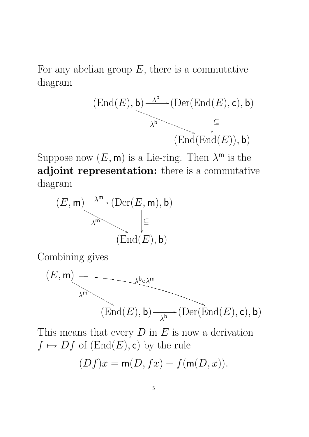For any abelian group  $E$ , there is a commutative diagram



Suppose now  $(E, \mathsf{m})$  is a Lie-ring. Then  $\lambda^{\mathsf{m}}$  is the adjoint representation: there is a commutative diagram



Combining gives



This means that every  $D$  in  $E$  is now a derivation  $f \mapsto Df$  of  $(End(E), c)$  by the rule  $(Df)x = m(D, fx) - f(m(D, x)).$